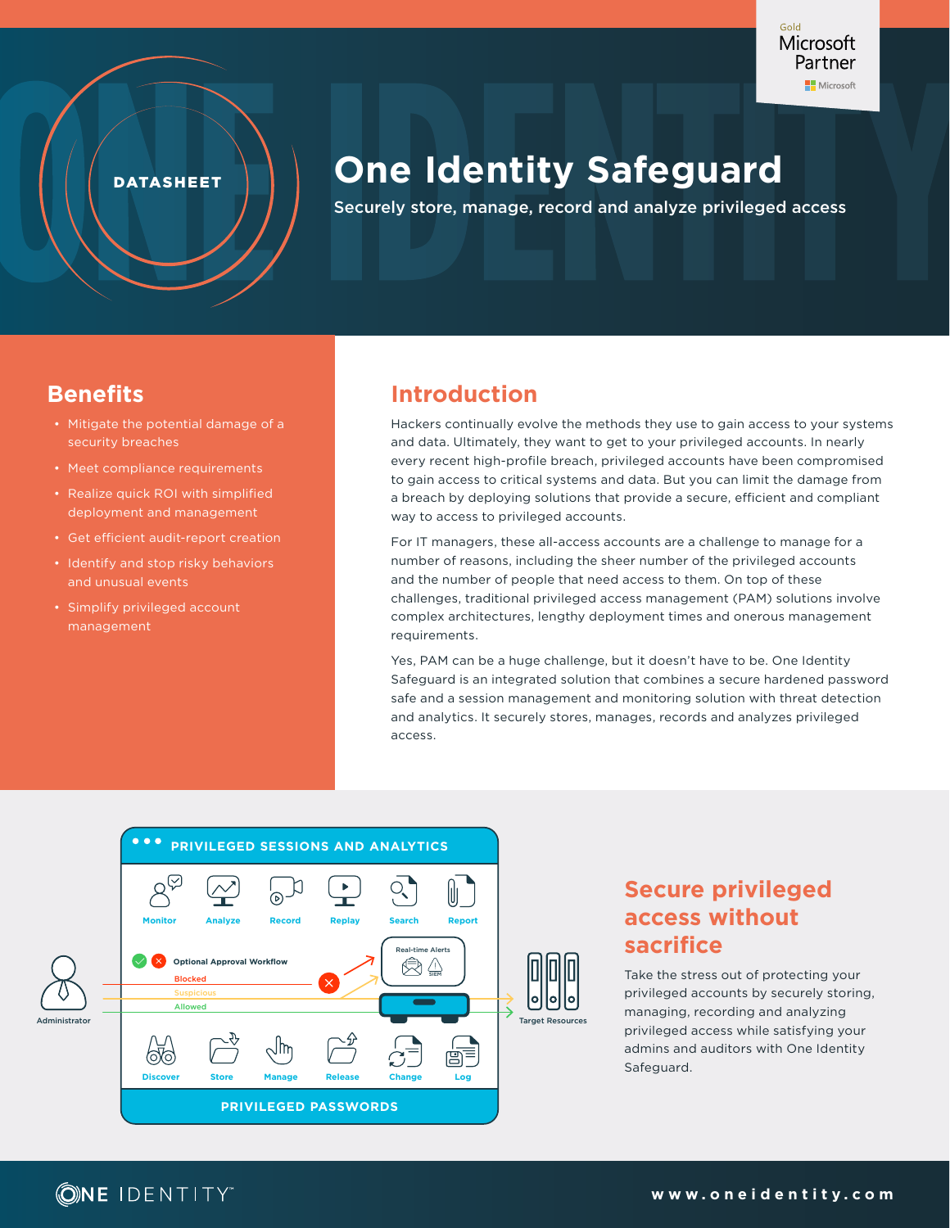

**DATASHEET** 

# **One Identity Safeguard**

Securely store, manage, record and analyze privileged access

# **Benefits**

- Mitigate the potential damage of a security breaches
- Meet compliance requirements
- Realize quick ROI with simplified deployment and management
- Get efficient audit-report creation
- Identify and stop risky behaviors and unusual events
- Simplify privileged account management

# **Introduction**

Hackers continually evolve the methods they use to gain access to your systems and data. Ultimately, they want to get to your privileged accounts. In nearly every recent high-profile breach, privileged accounts have been compromised to gain access to critical systems and data. But you can limit the damage from a breach by deploying solutions that provide a secure, efficient and compliant way to access to privileged accounts.

For IT managers, these all-access accounts are a challenge to manage for a number of reasons, including the sheer number of the privileged accounts and the number of people that need access to them. On top of these challenges, traditional privileged access management (PAM) solutions involve complex architectures, lengthy deployment times and onerous management requirements.

Yes, PAM can be a huge challenge, but it doesn't have to be. One Identity Safeguard is an integrated solution that combines a secure hardened password safe and a session management and monitoring solution with threat detection and analytics. It securely stores, manages, records and analyzes privileged access.



# **Secure privileged access without sacrifice**

Take the stress out of protecting your privileged accounts by securely storing, managing, recording and analyzing privileged access while satisfying your admins and auditors with One Identity Safeguard.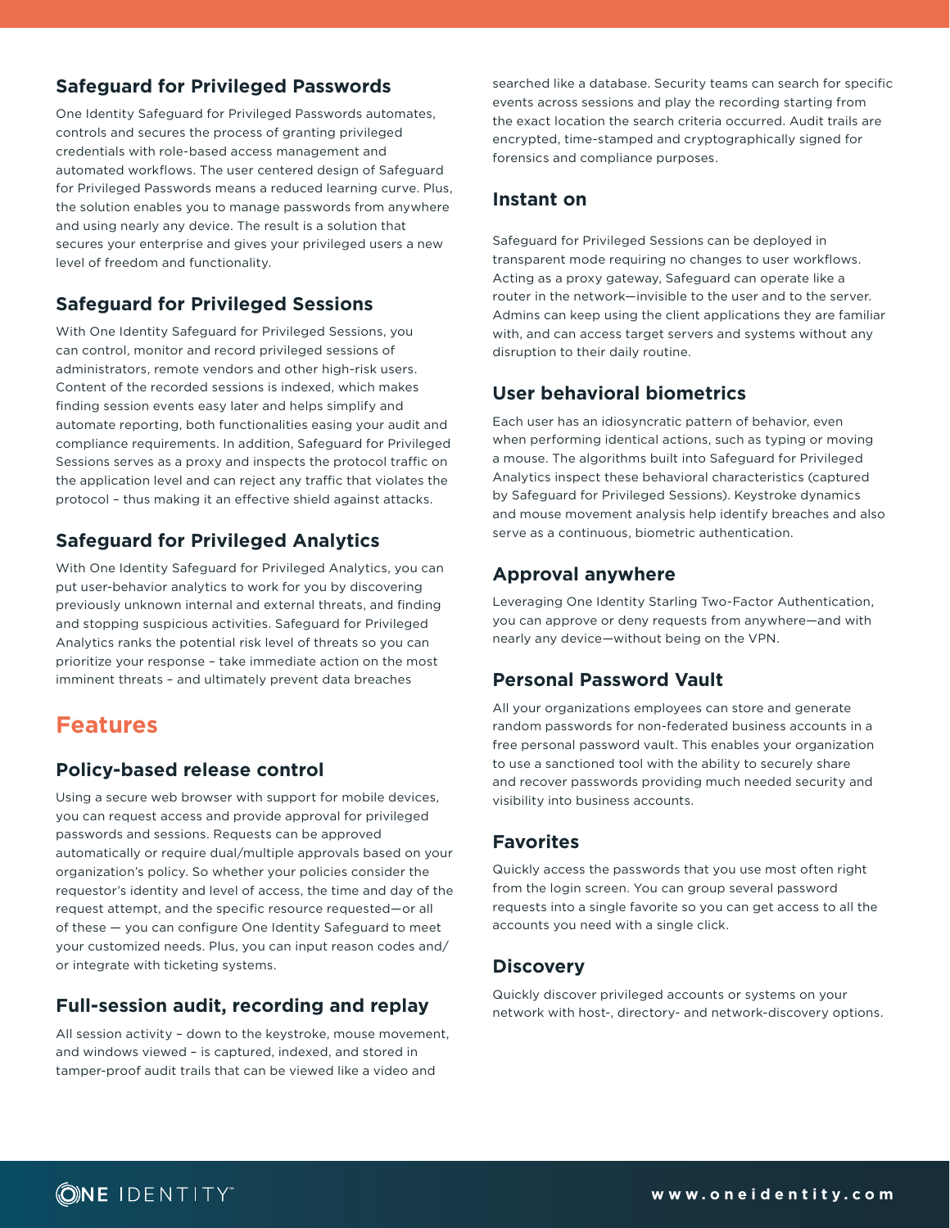# **Safeguard for Privileged Passwords**

One Identity Safeguard for Privileged Passwords automates, controls and secures the process of granting privileged credentials with role-based access management and automated workflows. The user centered design of Safeguard for Privileged Passwords means a reduced learning curve. Plus, the solution enables you to manage passwords from anywhere and using nearly any device. The result is a solution that secures your enterprise and gives your privileged users a new level of freedom and functionality.

## **Safeguard for Privileged Sessions**

With One Identity Safeguard for Privileged Sessions, you can control, monitor and record privileged sessions of administrators, remote vendors and other high-risk users. Content of the recorded sessions is indexed, which makes finding session events easy later and helps simplify and automate reporting, both functionalities easing your audit and compliance requirements. In addition, Safeguard for Privileged Sessions serves as a proxy and inspects the protocol traffic on the application level and can reject any traffic that violates the protocol – thus making it an effective shield against attacks.

# **Safeguard for Privileged Analytics**

With One Identity Safeguard for Privileged Analytics, you can put user-behavior analytics to work for you by discovering previously unknown internal and external threats, and finding and stopping suspicious activities. Safeguard for Privileged Analytics ranks the potential risk level of threats so you can prioritize your response – take immediate action on the most imminent threats – and ultimately prevent data breaches

# **Features**

## **Policy-based release control**

Using a secure web browser with support for mobile devices, you can request access and provide approval for privileged passwords and sessions. Requests can be approved automatically or require dual/multiple approvals based on your organization's policy. So whether your policies consider the requestor's identity and level of access, the time and day of the request attempt, and the specific resource requested—or all of these — you can configure One Identity Safeguard to meet your customized needs. Plus, you can input reason codes and/ or integrate with ticketing systems.

## **Full-session audit, recording and replay**

All session activity – down to the keystroke, mouse movement, and windows viewed – is captured, indexed, and stored in tamper-proof audit trails that can be viewed like a video and

searched like a database. Security teams can search for specific events across sessions and play the recording starting from the exact location the search criteria occurred. Audit trails are encrypted, time-stamped and cryptographically signed for forensics and compliance purposes.

#### **Instant on**

Safeguard for Privileged Sessions can be deployed in transparent mode requiring no changes to user workflows. Acting as a proxy gateway, Safeguard can operate like a router in the network—invisible to the user and to the server. Admins can keep using the client applications they are familiar with, and can access target servers and systems without any disruption to their daily routine.

#### **User behavioral biometrics**

Each user has an idiosyncratic pattern of behavior, even when performing identical actions, such as typing or moving a mouse. The algorithms built into Safeguard for Privileged Analytics inspect these behavioral characteristics (captured by Safeguard for Privileged Sessions). Keystroke dynamics and mouse movement analysis help identify breaches and also serve as a continuous, biometric authentication.

#### **Approval anywhere**

Leveraging One Identity Starling Two-Factor Authentication, you can approve or deny requests from anywhere—and with nearly any device—without being on the VPN.

#### **Personal Password Vault**

All your organizations employees can store and generate random passwords for non-federated business accounts in a free personal password vault. This enables your organization to use a sanctioned tool with the ability to securely share and recover passwords providing much needed security and visibility into business accounts.

#### **Favorites**

Quickly access the passwords that you use most often right from the login screen. You can group several password requests into a single favorite so you can get access to all the accounts you need with a single click.

#### **Discovery**

Quickly discover privileged accounts or systems on your network with host-, directory- and network-discovery options.